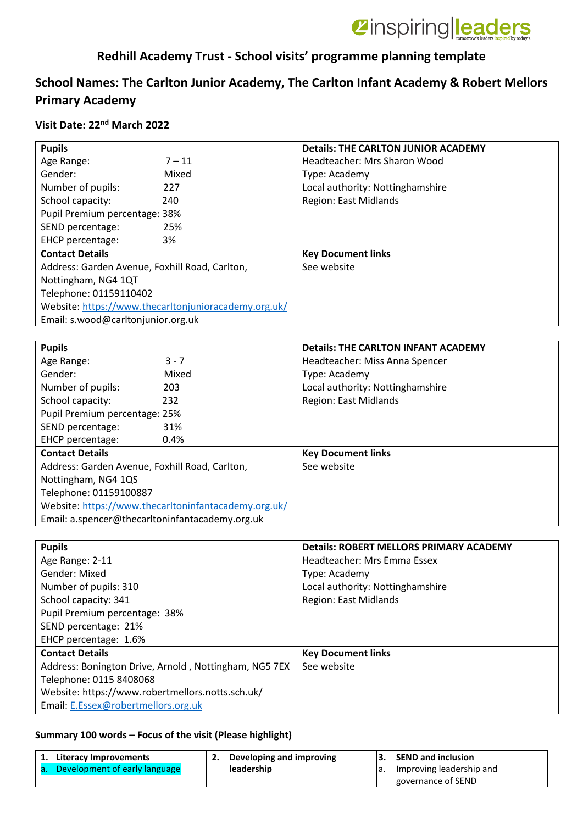

## **Redhill Academy Trust - School visits' programme planning template**

## **School Names: The Carlton Junior Academy, The Carlton Infant Academy & Robert Mellors Primary Academy**

### **Visit Date: 22nd March 2022**

| <b>Pupils</b>                                    |                                                       | <b>Details: THE CARLTON JUNIOR ACADEMY</b>     |
|--------------------------------------------------|-------------------------------------------------------|------------------------------------------------|
| Age Range:                                       | $7 - 11$                                              | Headteacher: Mrs Sharon Wood                   |
| Gender:                                          | Mixed                                                 | Type: Academy                                  |
| Number of pupils:                                | 227                                                   | Local authority: Nottinghamshire               |
| School capacity:                                 | 240                                                   | <b>Region: East Midlands</b>                   |
| Pupil Premium percentage: 38%                    |                                                       |                                                |
| SEND percentage:                                 | 25%                                                   |                                                |
| EHCP percentage:                                 | 3%                                                    |                                                |
| <b>Contact Details</b>                           |                                                       | <b>Key Document links</b>                      |
| Address: Garden Avenue, Foxhill Road, Carlton,   |                                                       | See website                                    |
| Nottingham, NG4 1QT                              |                                                       |                                                |
| Telephone: 01159110402                           |                                                       |                                                |
|                                                  | Website: https://www.thecarltonjunioracademy.org.uk/  |                                                |
| Email: s.wood@carltonjunior.org.uk               |                                                       |                                                |
|                                                  |                                                       |                                                |
| <b>Pupils</b>                                    |                                                       | <b>Details: THE CARLTON INFANT ACADEMY</b>     |
| Age Range:                                       | $3 - 7$                                               | Headteacher: Miss Anna Spencer                 |
| Gender:                                          | Mixed                                                 | Type: Academy                                  |
| Number of pupils:                                | 203                                                   | Local authority: Nottinghamshire               |
| School capacity:                                 | 232                                                   | Region: East Midlands                          |
| Pupil Premium percentage: 25%                    |                                                       |                                                |
| SEND percentage:                                 | 31%                                                   |                                                |
| EHCP percentage:                                 | 0.4%                                                  |                                                |
| <b>Contact Details</b>                           |                                                       | <b>Key Document links</b>                      |
| Address: Garden Avenue, Foxhill Road, Carlton,   |                                                       | See website                                    |
| Nottingham, NG4 1QS                              |                                                       |                                                |
| Telephone: 01159100887                           |                                                       |                                                |
|                                                  | Website: https://www.thecarltoninfantacademy.org.uk/  |                                                |
| Email: a.spencer@thecarltoninfantacademy.org.uk  |                                                       |                                                |
|                                                  |                                                       |                                                |
| <b>Pupils</b>                                    |                                                       | <b>Details: ROBERT MELLORS PRIMARY ACADEMY</b> |
| Age Range: 2-11                                  |                                                       | Headteacher: Mrs Emma Essex                    |
| Gender: Mixed                                    |                                                       | Type: Academy                                  |
| Number of pupils: 310                            |                                                       | Local authority: Nottinghamshire               |
| School capacity: 341                             |                                                       | Region: East Midlands                          |
| Pupil Premium percentage: 38%                    |                                                       |                                                |
| SEND percentage: 21%                             |                                                       |                                                |
| EHCP percentage: 1.6%                            |                                                       |                                                |
| <b>Contact Details</b>                           |                                                       | <b>Key Document links</b>                      |
|                                                  | Address: Bonington Drive, Arnold, Nottingham, NG5 7EX | See website                                    |
| Telephone: 0115 8408068                          |                                                       |                                                |
| Website: https://www.robertmellors.notts.sch.uk/ |                                                       |                                                |
| Email: E.Essex@robertmellors.org.uk              |                                                       |                                                |

### **Summary 100 words – Focus of the visit (Please highlight)**

| Literacy Improvements            | Developing and improving | <b>SEND and inclusion</b>   |
|----------------------------------|--------------------------|-----------------------------|
| a. Development of early language | leadership               | a. Improving leadership and |
|                                  |                          | governance of SEND          |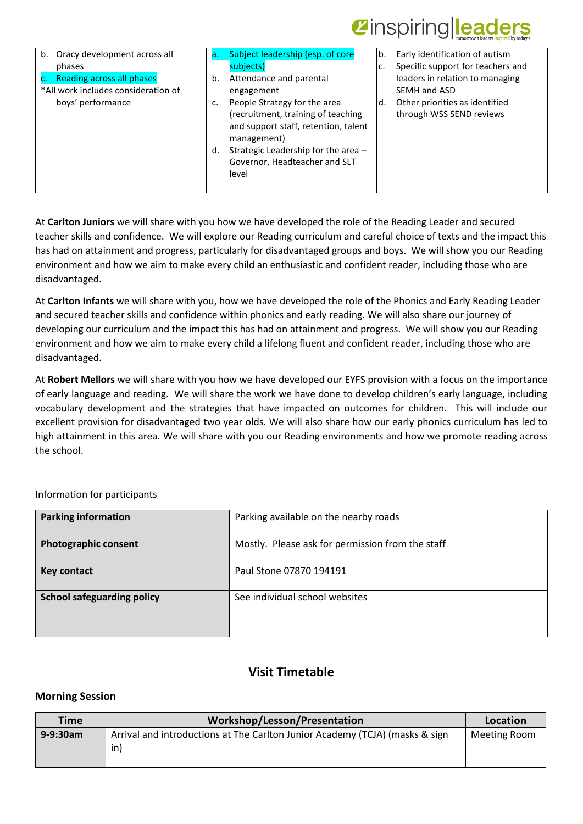## *Zinspiring leaders*

| Oracy development across all<br>b.<br>phases<br>Reading across all phases<br>*All work includes consideration of<br>boys' performance | a.<br>b.<br>c.<br>d. | Subject leadership (esp. of core<br>subjects)<br>Attendance and parental<br>engagement<br>People Strategy for the area<br>(recruitment, training of teaching<br>and support staff, retention, talent<br>management)<br>Strategic Leadership for the area -<br>Governor, Headteacher and SLT<br>level | b.<br>c.<br>d. | Early identification of autism<br>Specific support for teachers and<br>leaders in relation to managing<br>SEMH and ASD<br>Other priorities as identified<br>through WSS SEND reviews |
|---------------------------------------------------------------------------------------------------------------------------------------|----------------------|------------------------------------------------------------------------------------------------------------------------------------------------------------------------------------------------------------------------------------------------------------------------------------------------------|----------------|--------------------------------------------------------------------------------------------------------------------------------------------------------------------------------------|
|---------------------------------------------------------------------------------------------------------------------------------------|----------------------|------------------------------------------------------------------------------------------------------------------------------------------------------------------------------------------------------------------------------------------------------------------------------------------------------|----------------|--------------------------------------------------------------------------------------------------------------------------------------------------------------------------------------|

At **Carlton Juniors** we will share with you how we have developed the role of the Reading Leader and secured teacher skills and confidence. We will explore our Reading curriculum and careful choice of texts and the impact this has had on attainment and progress, particularly for disadvantaged groups and boys. We will show you our Reading environment and how we aim to make every child an enthusiastic and confident reader, including those who are disadvantaged.

At **Carlton Infants** we will share with you, how we have developed the role of the Phonics and Early Reading Leader and secured teacher skills and confidence within phonics and early reading. We will also share our journey of developing our curriculum and the impact this has had on attainment and progress. We will show you our Reading environment and how we aim to make every child a lifelong fluent and confident reader, including those who are disadvantaged.

At **Robert Mellors** we will share with you how we have developed our EYFS provision with a focus on the importance of early language and reading. We will share the work we have done to develop children's early language, including vocabulary development and the strategies that have impacted on outcomes for children. This will include our excellent provision for disadvantaged two year olds. We will also share how our early phonics curriculum has led to high attainment in this area. We will share with you our Reading environments and how we promote reading across the school.

| <b>Parking information</b>        | Parking available on the nearby roads            |
|-----------------------------------|--------------------------------------------------|
| <b>Photographic consent</b>       | Mostly. Please ask for permission from the staff |
| <b>Key contact</b>                | Paul Stone 07870 194191                          |
| <b>School safeguarding policy</b> | See individual school websites                   |

Information for participants

### **Visit Timetable**

### **Morning Session**

| <b>Time</b>   | Workshop/Lesson/Presentation                                                        | Location     |
|---------------|-------------------------------------------------------------------------------------|--------------|
| $9 - 9:30$ am | Arrival and introductions at The Carlton Junior Academy (TCJA) (masks & sign<br>in) | Meeting Room |